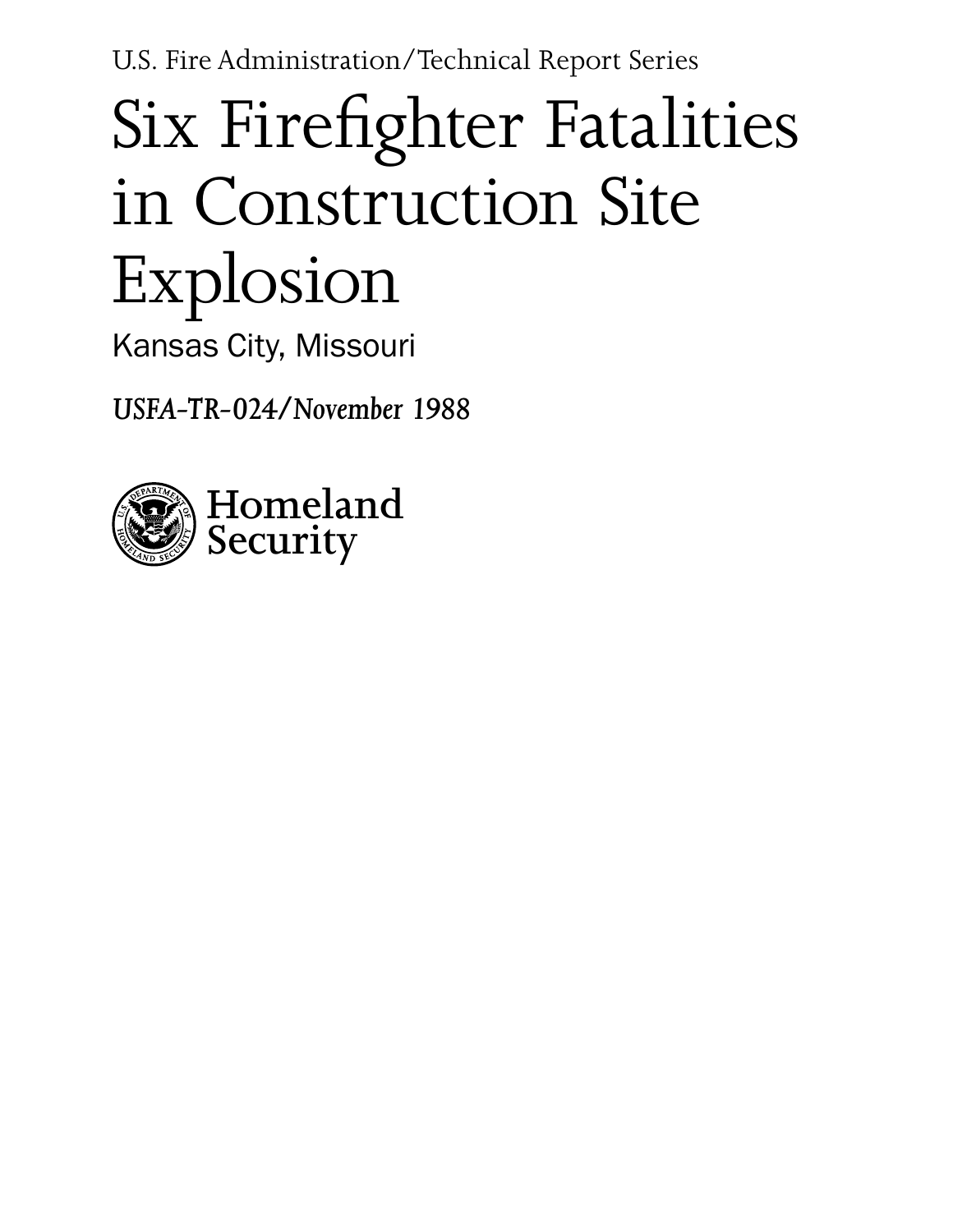U.S. Fire Administration/Technical Report Series

# Six Firefighter Fatalities in Construction Site Explosion

Kansas City, Missouri

*USFA-TR-024/November 1988*

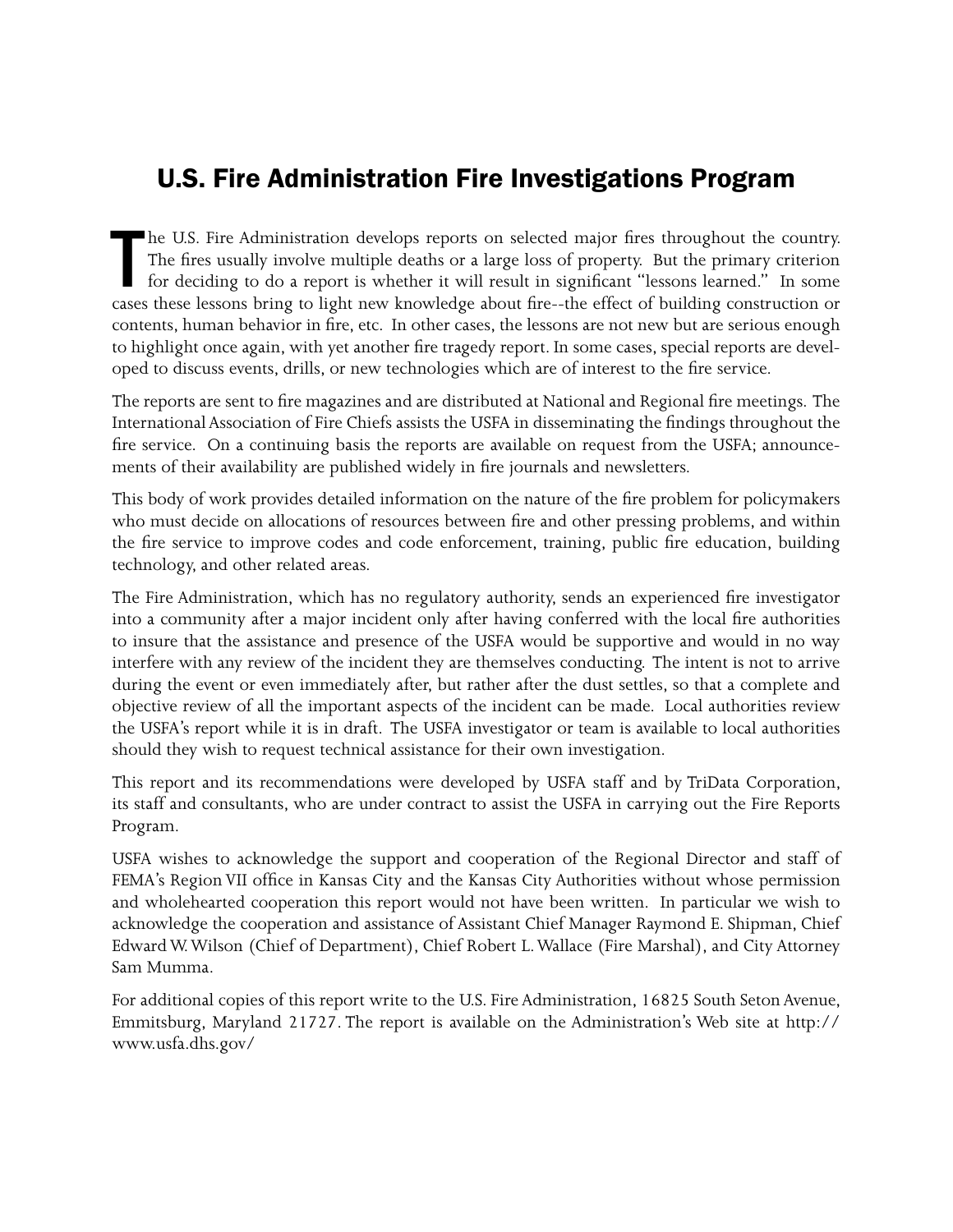# U.S. Fire Administration Fire Investigations Program

The U.S. Fire Administration develops reports on selected major fires throughout the country.<br>The fires usually involve multiple deaths or a large loss of property. But the primary criterion<br>for deciding to do a report is he U.S. Fire Administration develops reports on selected major fires throughout the country. The fires usually involve multiple deaths or a large loss of property. But the primary criterion for deciding to do a report is whether it will result in significant "lessons learned." In some contents, human behavior in fire, etc. In other cases, the lessons are not new but are serious enough to highlight once again, with yet another fire tragedy report. In some cases, special reports are developed to discuss events, drills, or new technologies which are of interest to the fire service.

The reports are sent to fire magazines and are distributed at National and Regional fire meetings. The International Association of Fire Chiefs assists the USFA in disseminating the findings throughout the fire service. On a continuing basis the reports are available on request from the USFA; announcements of their availability are published widely in fire journals and newsletters.

This body of work provides detailed information on the nature of the fire problem for policymakers who must decide on allocations of resources between fire and other pressing problems, and within the fire service to improve codes and code enforcement, training, public fire education, building technology, and other related areas.

The Fire Administration, which has no regulatory authority, sends an experienced fire investigator into a community after a major incident only after having conferred with the local fire authorities to insure that the assistance and presence of the USFA would be supportive and would in no way interfere with any review of the incident they are themselves conducting. The intent is not to arrive during the event or even immediately after, but rather after the dust settles, so that a complete and objective review of all the important aspects of the incident can be made. Local authorities review the USFA's report while it is in draft. The USFA investigator or team is available to local authorities should they wish to request technical assistance for their own investigation.

This report and its recommendations were developed by USFA staff and by TriData Corporation, its staff and consultants, who are under contract to assist the USFA in carrying out the Fire Reports Program.

USFA wishes to acknowledge the support and cooperation of the Regional Director and staff of FEMA's Region VII office in Kansas City and the Kansas City Authorities without whose permission and wholehearted cooperation this report would not have been written. In particular we wish to acknowledge the cooperation and assistance of Assistant Chief Manager Raymond E. Shipman, Chief Edward W. Wilson (Chief of Department), Chief Robert L. Wallace (Fire Marshal), and City Attorney Sam Mumma.

For additional copies of this report write to the U.S. Fire Administration, 16825 South Seton Avenue, Emmitsburg, Maryland 21727. The report is available on the Administration's Web site at http:// www.usfa.dhs.gov/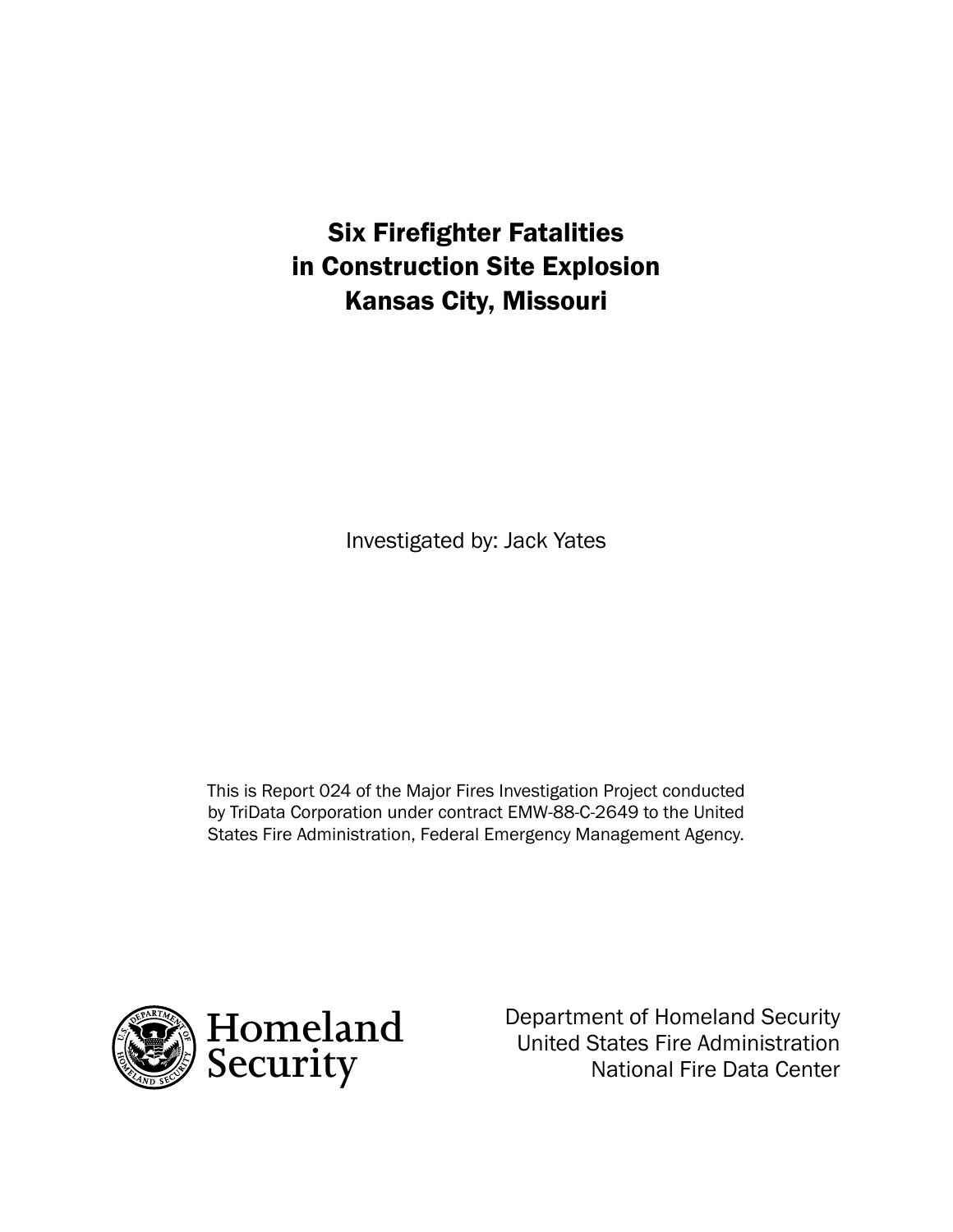# Six Firefighter Fatalities in Construction Site Explosion Kansas City, Missouri

Investigated by: Jack Yates

This is Report 024 of the Major Fires Investigation Project conducted by TriData Corporation under contract EMW-88-C-2649 to the United States Fire Administration, Federal Emergency Management Agency.



Department of Homeland Security United States Fire Administration National Fire Data Center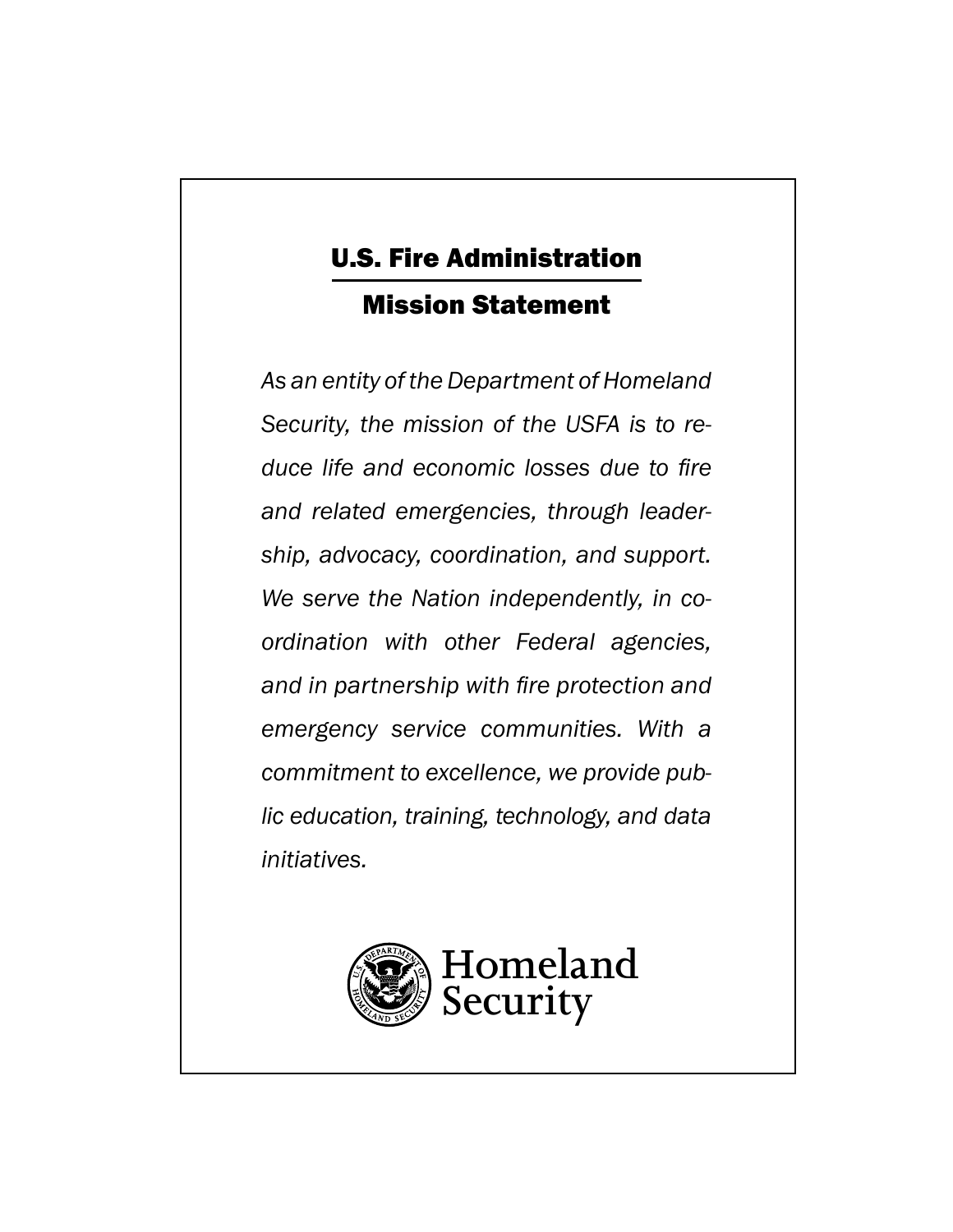# U.S. Fire Administration Mission Statement

*As an entity of the Department of Homeland Security, the mission of the USFA is to reduce life and economic losses due to fire and related emergencies, through leadership, advocacy, coordination, and support. We serve the Nation independently, in coordination with other Federal agencies, and in partnership with fire protection and emergency service communities. With a commitment to excellence, we provide public education, training, technology, and data initiatives.*

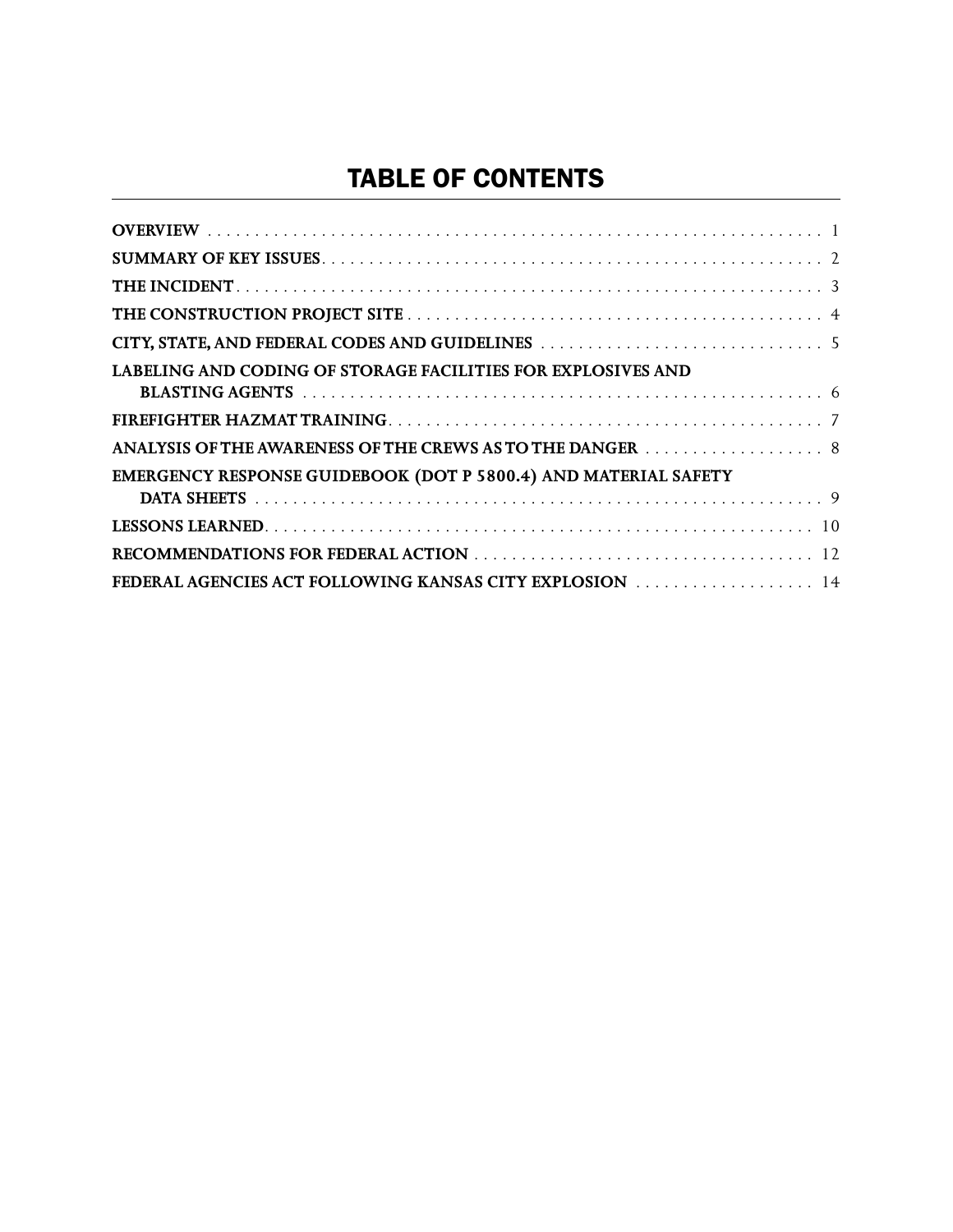# TABLE OF CONTENTS

| <b>LABELING AND CODING OF STORAGE FACILITIES FOR EXPLOSIVES AND</b> |
|---------------------------------------------------------------------|
|                                                                     |
| ANALYSIS OF THE AWARENESS OF THE CREWS AS TO THE DANGER 8           |
| EMERGENCY RESPONSE GUIDEBOOK (DOT P 5800.4) AND MATERIAL SAFETY     |
|                                                                     |
|                                                                     |
|                                                                     |
| FEDERAL AGENCIES ACT FOLLOWING KANSAS CITY EXPLOSION 14             |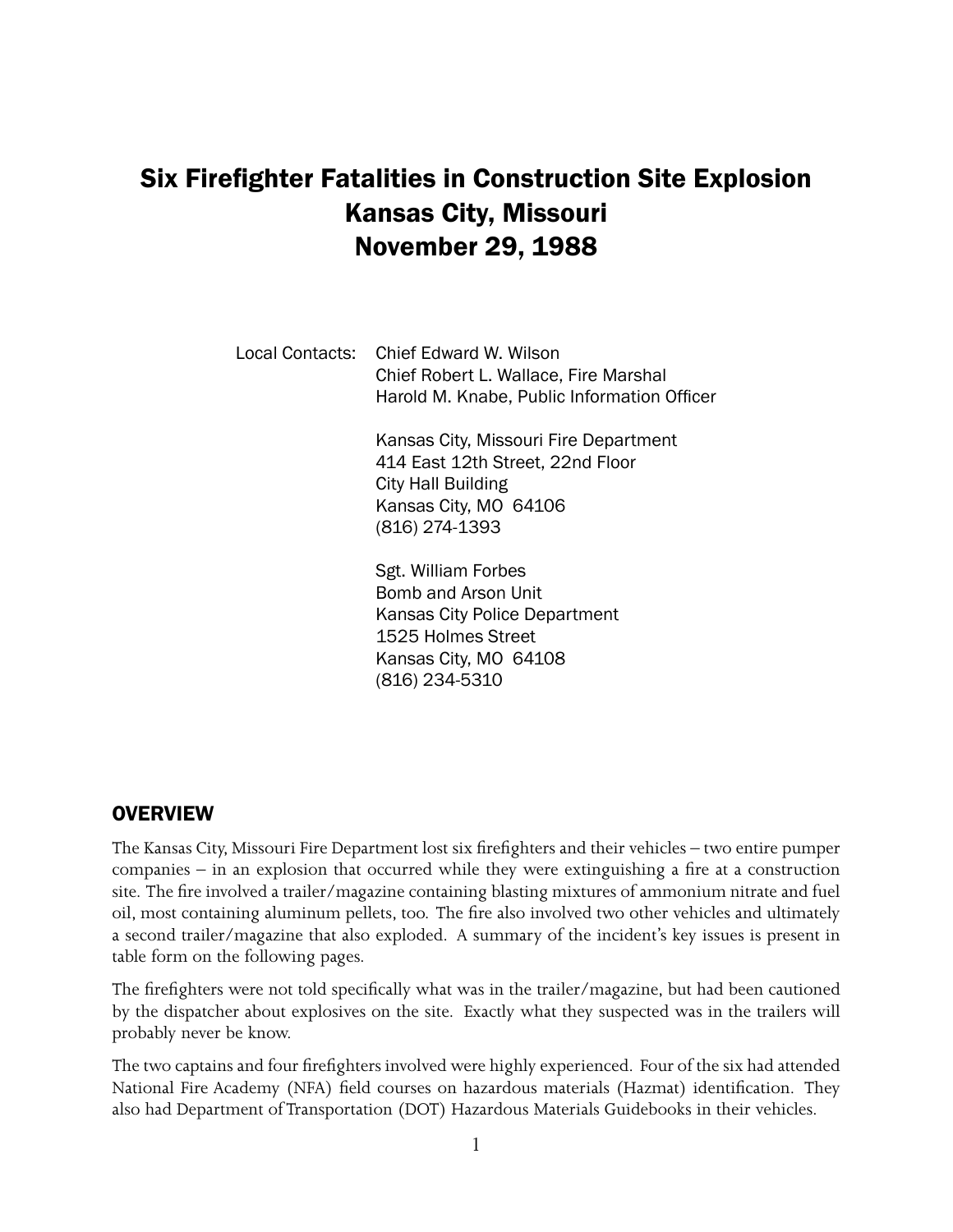# Six Firefighter Fatalities in Construction Site Explosion Kansas City, Missouri November 29, 1988

Local Contacts: Chief Edward W. Wilson Chief Robert L. Wallace, Fire Marshal Harold M. Knabe, Public Information Officer

> Kansas City, Missouri Fire Department 414 East 12th Street, 22nd Floor City Hall Building Kansas City, MO 64106 (816) 274-1393

Sgt. William Forbes Bomb and Arson Unit Kansas City Police Department 1525 Holmes Street Kansas City, MO 64108 (816) 234-5310

## **OVERVIEW**

The Kansas City, Missouri Fire Department lost six firefighters and their vehicles – two entire pumper companies  $-$  in an explosion that occurred while they were extinguishing a fire at a construction site. The fire involved a trailer/magazine containing blasting mixtures of ammonium nitrate and fuel oil, most containing aluminum pellets, too. The fire also involved two other vehicles and ultimately a second trailer/magazine that also exploded. A summary of the incident's key issues is present in table form on the following pages.

The firefighters were not told specifically what was in the trailer/magazine, but had been cautioned by the dispatcher about explosives on the site. Exactly what they suspected was in the trailers will probably never be know.

The two captains and four firefighters involved were highly experienced. Four of the six had attended National Fire Academy (NFA) field courses on hazardous materials (Hazmat) identification. They also had Department of Transportation (DOT) Hazardous Materials Guidebooks in their vehicles.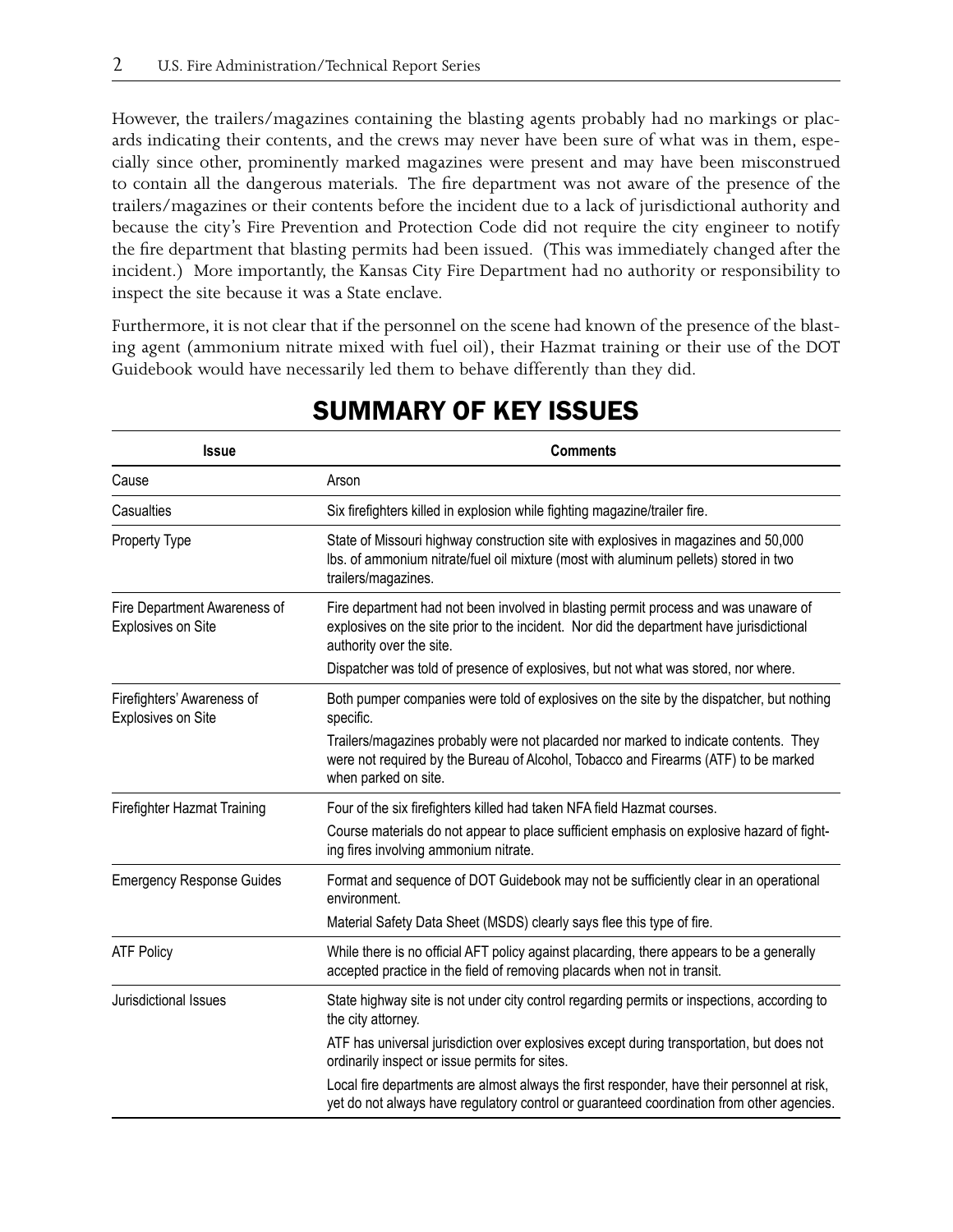However, the trailers/magazines containing the blasting agents probably had no markings or placards indicating their contents, and the crews may never have been sure of what was in them, especially since other, prominently marked magazines were present and may have been misconstrued to contain all the dangerous materials. The fire department was not aware of the presence of the trailers/magazines or their contents before the incident due to a lack of jurisdictional authority and because the city's Fire Prevention and Protection Code did not require the city engineer to notify the fire department that blasting permits had been issued. (This was immediately changed after the incident.) More importantly, the Kansas City Fire Department had no authority or responsibility to inspect the site because it was a State enclave.

Furthermore, it is not clear that if the personnel on the scene had known of the presence of the blasting agent (ammonium nitrate mixed with fuel oil), their Hazmat training or their use of the DOT Guidebook would have necessarily led them to behave differently than they did.

| <b>Issue</b>                                       | <b>Comments</b>                                                                                                                                                                                             |
|----------------------------------------------------|-------------------------------------------------------------------------------------------------------------------------------------------------------------------------------------------------------------|
| Cause                                              | Arson                                                                                                                                                                                                       |
| Casualties                                         | Six firefighters killed in explosion while fighting magazine/trailer fire.                                                                                                                                  |
| Property Type                                      | State of Missouri highway construction site with explosives in magazines and 50,000<br>Ibs. of ammonium nitrate/fuel oil mixture (most with aluminum pellets) stored in two<br>trailers/magazines.          |
| Fire Department Awareness of<br>Explosives on Site | Fire department had not been involved in blasting permit process and was unaware of<br>explosives on the site prior to the incident. Nor did the department have jurisdictional<br>authority over the site. |
|                                                    | Dispatcher was told of presence of explosives, but not what was stored, nor where.                                                                                                                          |
| Firefighters' Awareness of<br>Explosives on Site   | Both pumper companies were told of explosives on the site by the dispatcher, but nothing<br>specific.                                                                                                       |
|                                                    | Trailers/magazines probably were not placarded nor marked to indicate contents. They<br>were not required by the Bureau of Alcohol, Tobacco and Firearms (ATF) to be marked<br>when parked on site.         |
| Firefighter Hazmat Training                        | Four of the six firefighters killed had taken NFA field Hazmat courses.                                                                                                                                     |
|                                                    | Course materials do not appear to place sufficient emphasis on explosive hazard of fight-<br>ing fires involving ammonium nitrate.                                                                          |
| <b>Emergency Response Guides</b>                   | Format and sequence of DOT Guidebook may not be sufficiently clear in an operational<br>environment.                                                                                                        |
|                                                    | Material Safety Data Sheet (MSDS) clearly says flee this type of fire.                                                                                                                                      |
| <b>ATF Policy</b>                                  | While there is no official AFT policy against placarding, there appears to be a generally<br>accepted practice in the field of removing placards when not in transit.                                       |
| Jurisdictional Issues                              | State highway site is not under city control regarding permits or inspections, according to<br>the city attorney.                                                                                           |
|                                                    | ATF has universal jurisdiction over explosives except during transportation, but does not<br>ordinarily inspect or issue permits for sites.                                                                 |
|                                                    | Local fire departments are almost always the first responder, have their personnel at risk,<br>yet do not always have regulatory control or guaranteed coordination from other agencies.                    |

# SUMMARY OF KEY ISSUES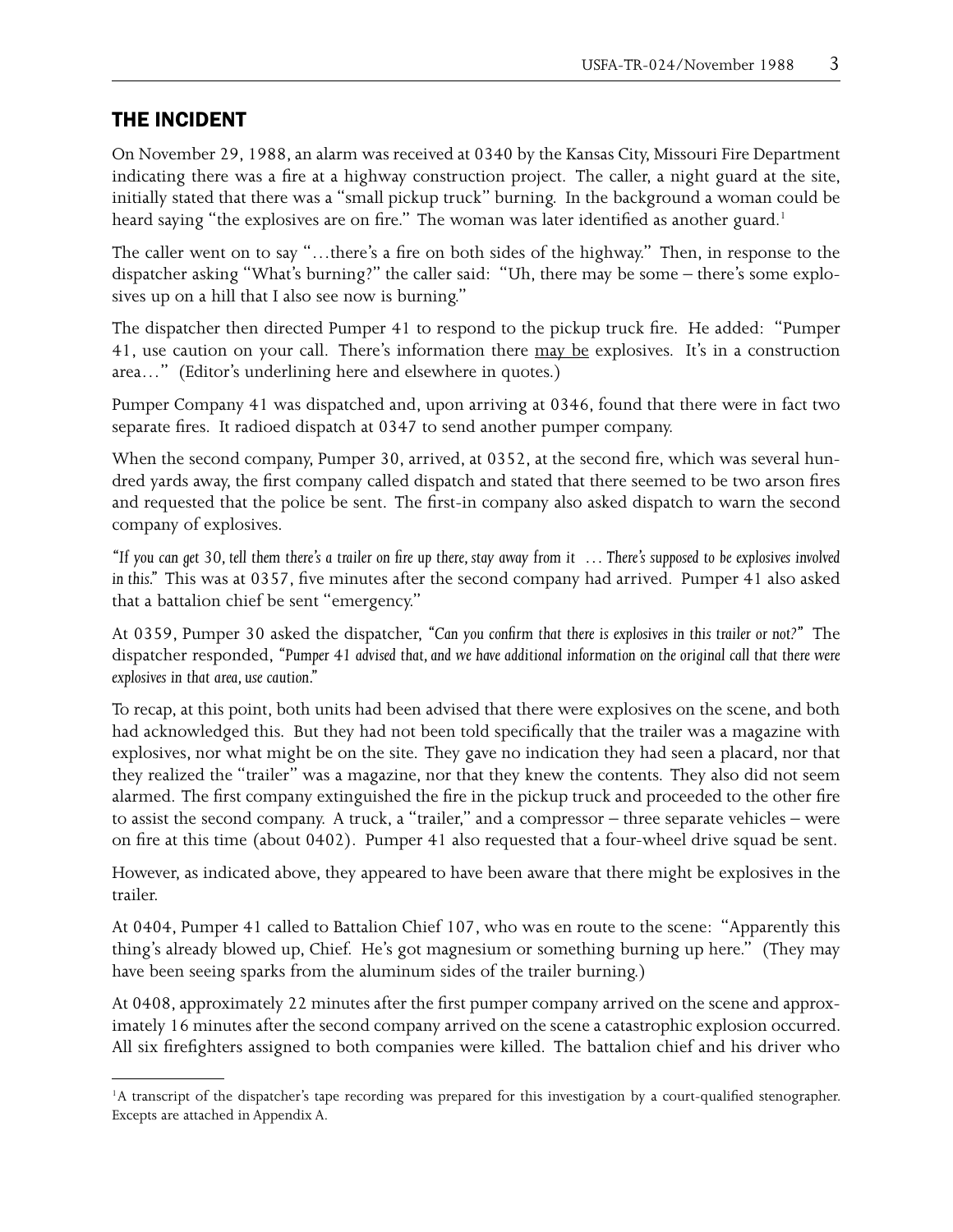## THE INCIDENT

On November 29, 1988, an alarm was received at 0340 by the Kansas City, Missouri Fire Department indicating there was a fire at a highway construction project. The caller, a night guard at the site, initially stated that there was a "small pickup truck" burning. In the background a woman could be heard saying "the explosives are on fire." The woman was later identified as another guard.<sup>1</sup>

The caller went on to say "…there's a fire on both sides of the highway." Then, in response to the dispatcher asking "What's burning?" the caller said: "Uh, there may be some – there's some explosives up on a hill that I also see now is burning."

The dispatcher then directed Pumper 41 to respond to the pickup truck fire. He added: "Pumper 41, use caution on your call. There's information there may be explosives. It's in a construction area…" (Editor's underlining here and elsewhere in quotes.)

Pumper Company 41 was dispatched and, upon arriving at 0346, found that there were in fact two separate fires. It radioed dispatch at 0347 to send another pumper company.

When the second company, Pumper 30, arrived, at 0352, at the second fire, which was several hundred yards away, the first company called dispatch and stated that there seemed to be two arson fires and requested that the police be sent. The first-in company also asked dispatch to warn the second company of explosives.

*"If you can get 30, tell them there's a trailer on fire up there, stay away from it … There's supposed to be explosives involved in this."* This was at 0357, five minutes after the second company had arrived. Pumper 41 also asked that a battalion chief be sent "emergency."

At 0359, Pumper 30 asked the dispatcher, *"Can you confirm that there is explosives in this trailer or not?"* The dispatcher responded, *"Pumper 41 advised that, and we have additional information on the original call that there were explosives in that area, use caution."*

To recap, at this point, both units had been advised that there were explosives on the scene, and both had acknowledged this. But they had not been told specifically that the trailer was a magazine with explosives, nor what might be on the site. They gave no indication they had seen a placard, nor that they realized the "trailer" was a magazine, nor that they knew the contents. They also did not seem alarmed. The first company extinguished the fire in the pickup truck and proceeded to the other fire to assist the second company. A truck, a "trailer," and a compressor – three separate vehicles – were on fire at this time (about 0402). Pumper 41 also requested that a four-wheel drive squad be sent.

However, as indicated above, they appeared to have been aware that there might be explosives in the trailer.

At 0404, Pumper 41 called to Battalion Chief 107, who was en route to the scene: "Apparently this thing's already blowed up, Chief. He's got magnesium or something burning up here." (They may have been seeing sparks from the aluminum sides of the trailer burning.)

At 0408, approximately 22 minutes after the first pumper company arrived on the scene and approximately 16 minutes after the second company arrived on the scene a catastrophic explosion occurred. All six firefighters assigned to both companies were killed. The battalion chief and his driver who

<sup>&</sup>lt;sup>1</sup>A transcript of the dispatcher's tape recording was prepared for this investigation by a court-qualified stenographer. Excepts are attached in Appendix A.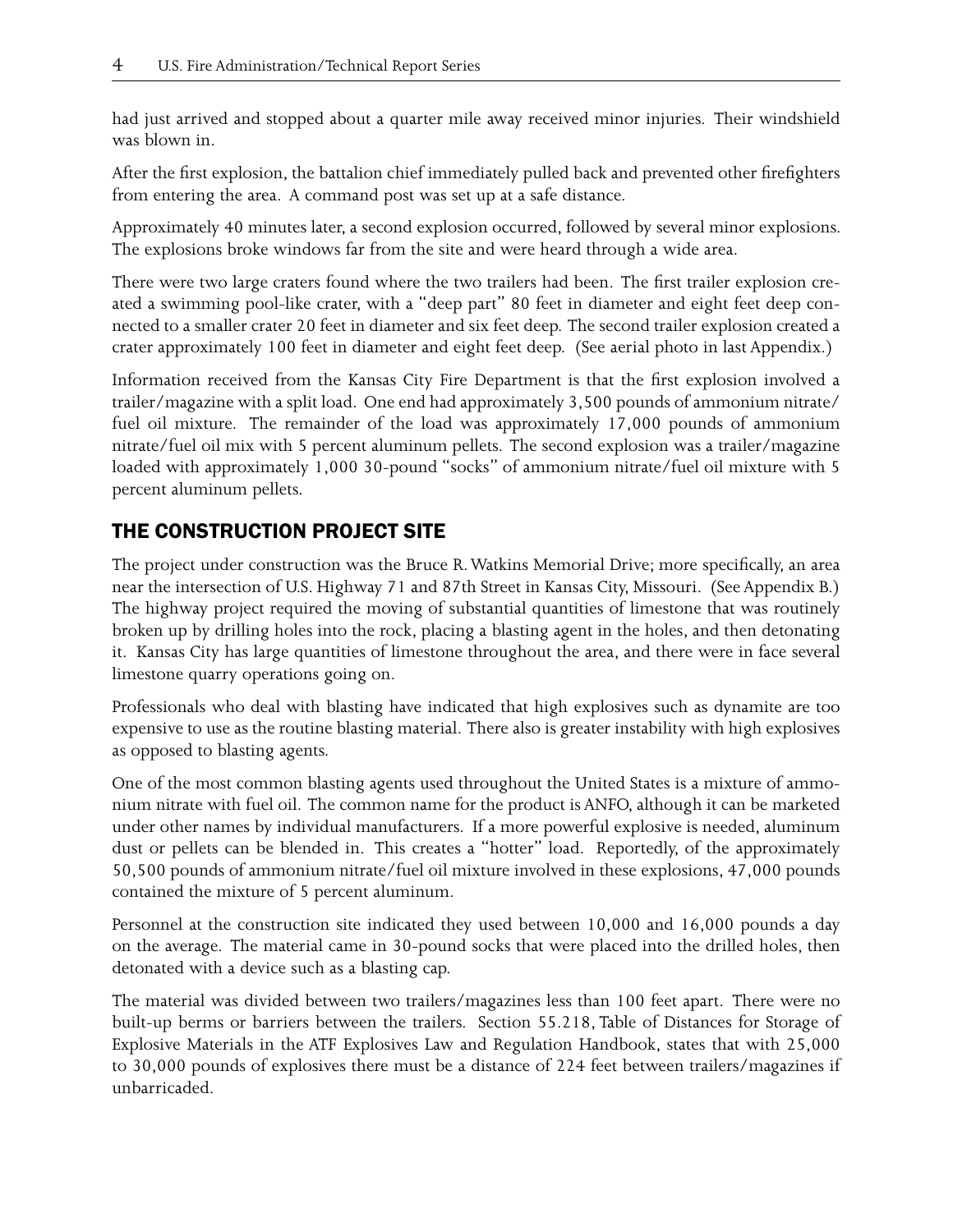had just arrived and stopped about a quarter mile away received minor injuries. Their windshield was blown in.

After the first explosion, the battalion chief immediately pulled back and prevented other firefighters from entering the area. A command post was set up at a safe distance.

Approximately 40 minutes later, a second explosion occurred, followed by several minor explosions. The explosions broke windows far from the site and were heard through a wide area.

There were two large craters found where the two trailers had been. The first trailer explosion created a swimming pool-like crater, with a "deep part" 80 feet in diameter and eight feet deep connected to a smaller crater 20 feet in diameter and six feet deep. The second trailer explosion created a crater approximately 100 feet in diameter and eight feet deep. (See aerial photo in last Appendix.)

Information received from the Kansas City Fire Department is that the first explosion involved a trailer/magazine with a split load. One end had approximately 3,500 pounds of ammonium nitrate/ fuel oil mixture. The remainder of the load was approximately 17,000 pounds of ammonium nitrate/fuel oil mix with 5 percent aluminum pellets. The second explosion was a trailer/magazine loaded with approximately 1,000 30-pound "socks" of ammonium nitrate/fuel oil mixture with 5 percent aluminum pellets.

# THE CONSTRUCTION PROJECT SITE

The project under construction was the Bruce R. Watkins Memorial Drive; more specifically, an area near the intersection of U.S. Highway 71 and 87th Street in Kansas City, Missouri. (See Appendix B.) The highway project required the moving of substantial quantities of limestone that was routinely broken up by drilling holes into the rock, placing a blasting agent in the holes, and then detonating it. Kansas City has large quantities of limestone throughout the area, and there were in face several limestone quarry operations going on.

Professionals who deal with blasting have indicated that high explosives such as dynamite are too expensive to use as the routine blasting material. There also is greater instability with high explosives as opposed to blasting agents.

One of the most common blasting agents used throughout the United States is a mixture of ammonium nitrate with fuel oil. The common name for the product is ANFO, although it can be marketed under other names by individual manufacturers. If a more powerful explosive is needed, aluminum dust or pellets can be blended in. This creates a "hotter" load. Reportedly, of the approximately 50,500 pounds of ammonium nitrate/fuel oil mixture involved in these explosions, 47,000 pounds contained the mixture of 5 percent aluminum.

Personnel at the construction site indicated they used between 10,000 and 16,000 pounds a day on the average. The material came in 30-pound socks that were placed into the drilled holes, then detonated with a device such as a blasting cap.

The material was divided between two trailers/magazines less than 100 feet apart. There were no built-up berms or barriers between the trailers. Section 55.218, Table of Distances for Storage of Explosive Materials in the ATF Explosives Law and Regulation Handbook, states that with 25,000 to 30,000 pounds of explosives there must be a distance of 224 feet between trailers/magazines if unbarricaded.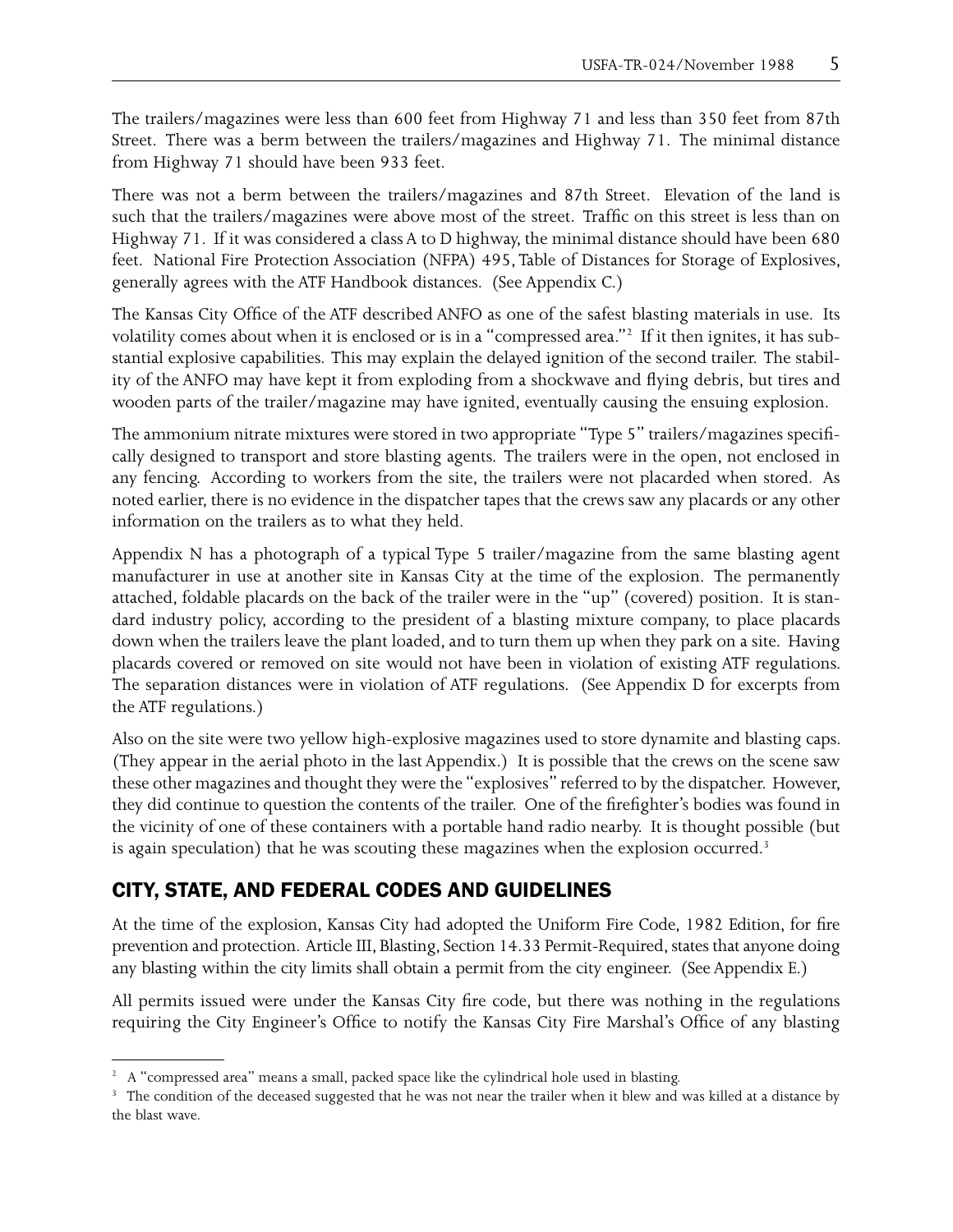The trailers/magazines were less than 600 feet from Highway 71 and less than 350 feet from 87th Street. There was a berm between the trailers/magazines and Highway 71. The minimal distance from Highway 71 should have been 933 feet.

There was not a berm between the trailers/magazines and 87th Street. Elevation of the land is such that the trailers/magazines were above most of the street. Traffic on this street is less than on Highway 71. If it was considered a class A to D highway, the minimal distance should have been 680 feet. National Fire Protection Association (NFPA) 495, Table of Distances for Storage of Explosives, generally agrees with the ATF Handbook distances. (See Appendix C.)

The Kansas City Office of the ATF described ANFO as one of the safest blasting materials in use. Its volatility comes about when it is enclosed or is in a "compressed area."<sup>2</sup> If it then ignites, it has substantial explosive capabilities. This may explain the delayed ignition of the second trailer. The stability of the ANFO may have kept it from exploding from a shockwave and flying debris, but tires and wooden parts of the trailer/magazine may have ignited, eventually causing the ensuing explosion.

The ammonium nitrate mixtures were stored in two appropriate "Type 5" trailers/magazines specifically designed to transport and store blasting agents. The trailers were in the open, not enclosed in any fencing. According to workers from the site, the trailers were not placarded when stored. As noted earlier, there is no evidence in the dispatcher tapes that the crews saw any placards or any other information on the trailers as to what they held.

Appendix N has a photograph of a typical Type 5 trailer/magazine from the same blasting agent manufacturer in use at another site in Kansas City at the time of the explosion. The permanently attached, foldable placards on the back of the trailer were in the "up" (covered) position. It is standard industry policy, according to the president of a blasting mixture company, to place placards down when the trailers leave the plant loaded, and to turn them up when they park on a site. Having placards covered or removed on site would not have been in violation of existing ATF regulations. The separation distances were in violation of ATF regulations. (See Appendix D for excerpts from the ATF regulations.)

Also on the site were two yellow high-explosive magazines used to store dynamite and blasting caps. (They appear in the aerial photo in the last Appendix.) It is possible that the crews on the scene saw these other magazines and thought they were the "explosives" referred to by the dispatcher. However, they did continue to question the contents of the trailer. One of the firefighter's bodies was found in the vicinity of one of these containers with a portable hand radio nearby. It is thought possible (but is again speculation) that he was scouting these magazines when the explosion occurred.<sup>3</sup>

## CITY, STATE, AND FEDERAL CODES AND GUIDELINES

At the time of the explosion, Kansas City had adopted the Uniform Fire Code, 1982 Edition, for fire prevention and protection. Article III, Blasting, Section 14.33 Permit-Required, states that anyone doing any blasting within the city limits shall obtain a permit from the city engineer. (See Appendix E.)

All permits issued were under the Kansas City fire code, but there was nothing in the regulations requiring the City Engineer's Office to notify the Kansas City Fire Marshal's Office of any blasting

<sup>&</sup>lt;sup>2</sup> A "compressed area" means a small, packed space like the cylindrical hole used in blasting.

<sup>&</sup>lt;sup>3</sup> The condition of the deceased suggested that he was not near the trailer when it blew and was killed at a distance by the blast wave.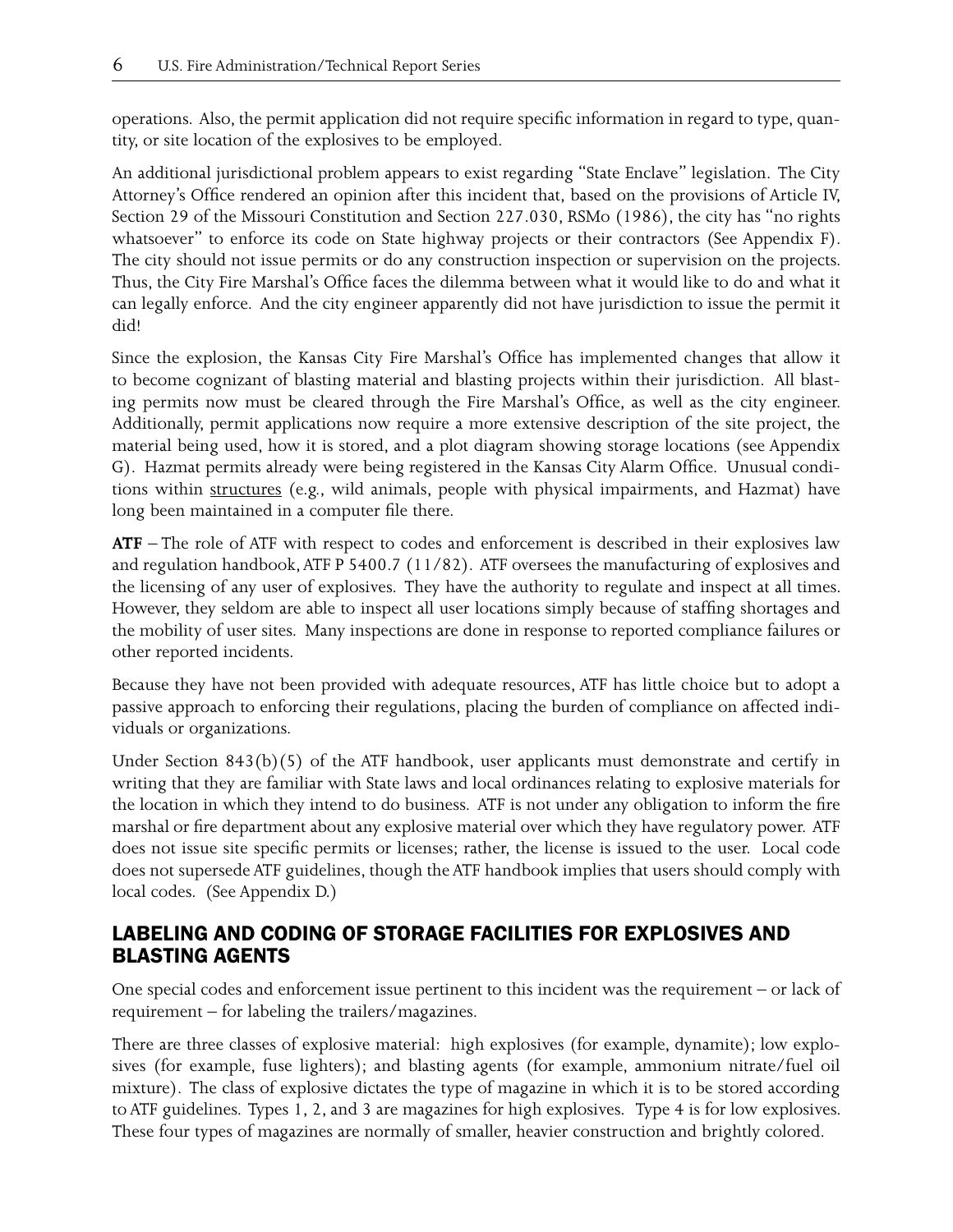operations. Also, the permit application did not require specific information in regard to type, quantity, or site location of the explosives to be employed.

An additional jurisdictional problem appears to exist regarding "State Enclave" legislation. The City Attorney's Office rendered an opinion after this incident that, based on the provisions of Article IV, Section 29 of the Missouri Constitution and Section 227.030, RSMo (1986), the city has "no rights whatsoever" to enforce its code on State highway projects or their contractors (See Appendix F). The city should not issue permits or do any construction inspection or supervision on the projects. Thus, the City Fire Marshal's Office faces the dilemma between what it would like to do and what it can legally enforce. And the city engineer apparently did not have jurisdiction to issue the permit it did!

Since the explosion, the Kansas City Fire Marshal's Office has implemented changes that allow it to become cognizant of blasting material and blasting projects within their jurisdiction. All blasting permits now must be cleared through the Fire Marshal's Office, as well as the city engineer. Additionally, permit applications now require a more extensive description of the site project, the material being used, how it is stored, and a plot diagram showing storage locations (see Appendix G). Hazmat permits already were being registered in the Kansas City Alarm Office. Unusual conditions within structures (e.g., wild animals, people with physical impairments, and Hazmat) have long been maintained in a computer file there.

**ATF** – The role of ATF with respect to codes and enforcement is described in their explosives law and regulation handbook, ATF P 5400.7 (11/82). ATF oversees the manufacturing of explosives and the licensing of any user of explosives. They have the authority to regulate and inspect at all times. However, they seldom are able to inspect all user locations simply because of staffing shortages and the mobility of user sites. Many inspections are done in response to reported compliance failures or other reported incidents.

Because they have not been provided with adequate resources, ATF has little choice but to adopt a passive approach to enforcing their regulations, placing the burden of compliance on affected individuals or organizations.

Under Section  $843(b)(5)$  of the ATF handbook, user applicants must demonstrate and certify in writing that they are familiar with State laws and local ordinances relating to explosive materials for the location in which they intend to do business. ATF is not under any obligation to inform the fire marshal or fire department about any explosive material over which they have regulatory power. ATF does not issue site specific permits or licenses; rather, the license is issued to the user. Local code does not supersede ATF guidelines, though the ATF handbook implies that users should comply with local codes. (See Appendix D.)

## LABELING AND CODING OF STORAGE FACILITIES FOR EXPLOSIVES AND BLASTING AGENTS

One special codes and enforcement issue pertinent to this incident was the requirement – or lack of requirement – for labeling the trailers/magazines.

There are three classes of explosive material: high explosives (for example, dynamite); low explosives (for example, fuse lighters); and blasting agents (for example, ammonium nitrate/fuel oil mixture). The class of explosive dictates the type of magazine in which it is to be stored according to ATF guidelines. Types 1, 2, and 3 are magazines for high explosives. Type 4 is for low explosives. These four types of magazines are normally of smaller, heavier construction and brightly colored.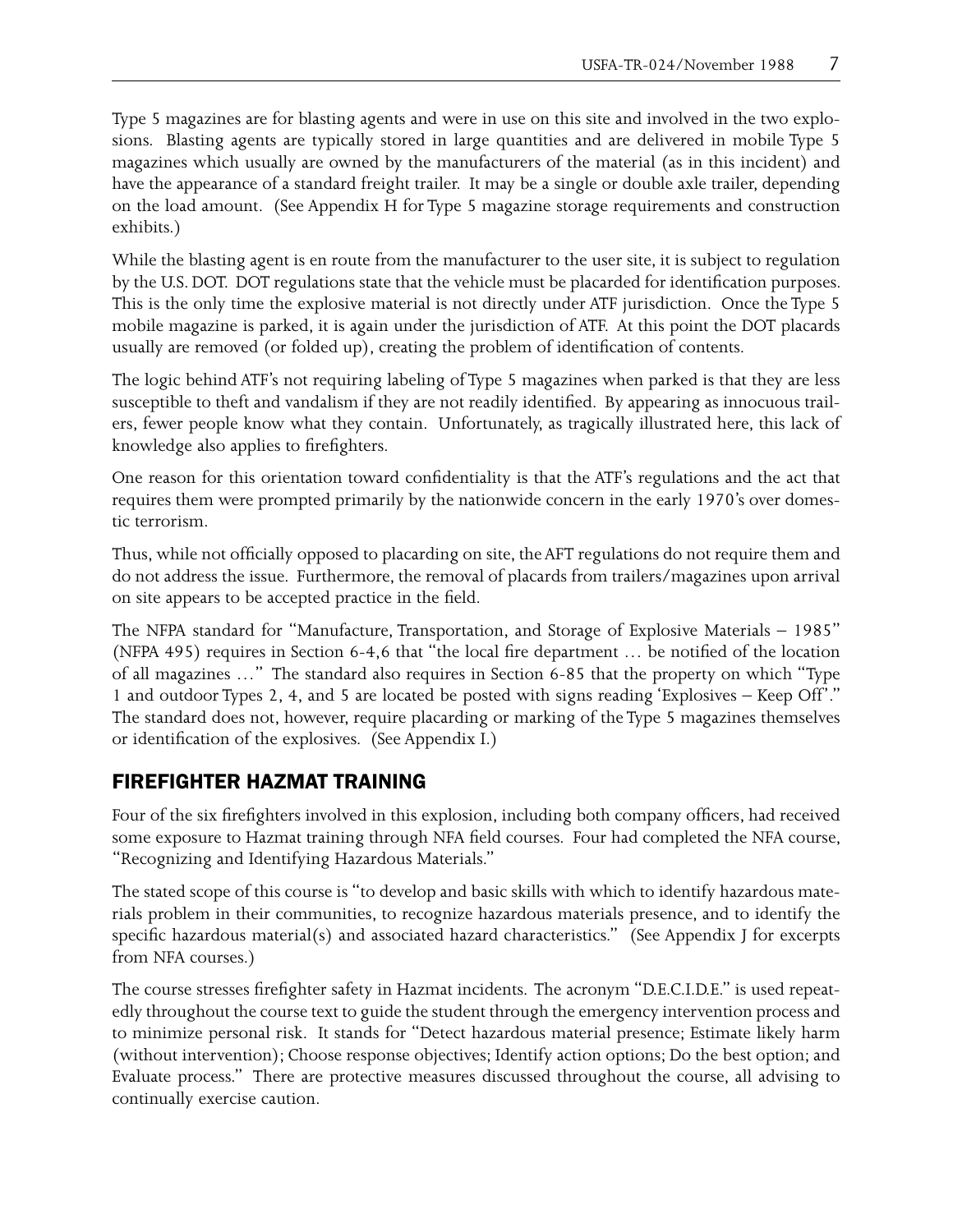Type 5 magazines are for blasting agents and were in use on this site and involved in the two explosions. Blasting agents are typically stored in large quantities and are delivered in mobile Type 5 magazines which usually are owned by the manufacturers of the material (as in this incident) and have the appearance of a standard freight trailer. It may be a single or double axle trailer, depending on the load amount. (See Appendix H for Type 5 magazine storage requirements and construction exhibits.)

While the blasting agent is en route from the manufacturer to the user site, it is subject to regulation by the U.S. DOT. DOT regulations state that the vehicle must be placarded for identification purposes. This is the only time the explosive material is not directly under ATF jurisdiction. Once the Type 5 mobile magazine is parked, it is again under the jurisdiction of ATF. At this point the DOT placards usually are removed (or folded up), creating the problem of identification of contents.

The logic behind ATF's not requiring labeling of Type 5 magazines when parked is that they are less susceptible to theft and vandalism if they are not readily identified. By appearing as innocuous trailers, fewer people know what they contain. Unfortunately, as tragically illustrated here, this lack of knowledge also applies to firefighters.

One reason for this orientation toward confidentiality is that the ATF's regulations and the act that requires them were prompted primarily by the nationwide concern in the early 1970's over domestic terrorism.

Thus, while not officially opposed to placarding on site, the AFT regulations do not require them and do not address the issue. Furthermore, the removal of placards from trailers/magazines upon arrival on site appears to be accepted practice in the field.

The NFPA standard for "Manufacture, Transportation, and Storage of Explosive Materials – 1985" (NFPA 495) requires in Section 6-4,6 that "the local fire department … be notified of the location of all magazines …" The standard also requires in Section 6-85 that the property on which "Type 1 and outdoor Types 2, 4, and 5 are located be posted with signs reading 'Explosives – Keep Off'." The standard does not, however, require placarding or marking of the Type 5 magazines themselves or identification of the explosives. (See Appendix I.)

## FIREFIGHTER HAZMAT TRAINING

Four of the six firefighters involved in this explosion, including both company officers, had received some exposure to Hazmat training through NFA field courses. Four had completed the NFA course, "Recognizing and Identifying Hazardous Materials."

The stated scope of this course is "to develop and basic skills with which to identify hazardous materials problem in their communities, to recognize hazardous materials presence, and to identify the specific hazardous material(s) and associated hazard characteristics." (See Appendix J for excerpts from NFA courses.)

The course stresses firefighter safety in Hazmat incidents. The acronym "D.E.C.I.D.E." is used repeatedly throughout the course text to guide the student through the emergency intervention process and to minimize personal risk. It stands for "Detect hazardous material presence; Estimate likely harm (without intervention); Choose response objectives; Identify action options; Do the best option; and Evaluate process." There are protective measures discussed throughout the course, all advising to continually exercise caution.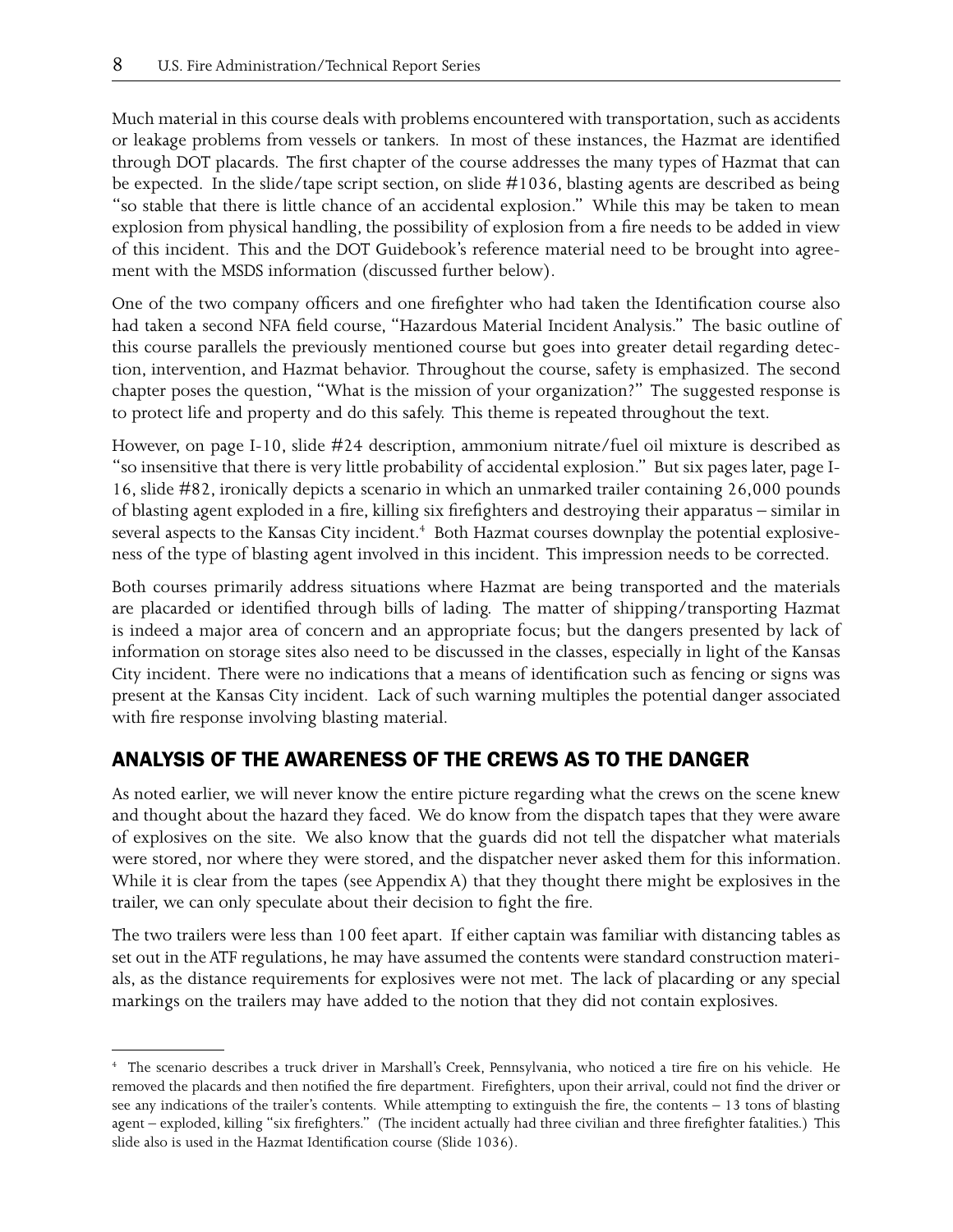Much material in this course deals with problems encountered with transportation, such as accidents or leakage problems from vessels or tankers. In most of these instances, the Hazmat are identified through DOT placards. The first chapter of the course addresses the many types of Hazmat that can be expected. In the slide/tape script section, on slide #1036, blasting agents are described as being "so stable that there is little chance of an accidental explosion." While this may be taken to mean explosion from physical handling, the possibility of explosion from a fire needs to be added in view of this incident. This and the DOT Guidebook's reference material need to be brought into agreement with the MSDS information (discussed further below).

One of the two company officers and one firefighter who had taken the Identification course also had taken a second NFA field course, "Hazardous Material Incident Analysis." The basic outline of this course parallels the previously mentioned course but goes into greater detail regarding detection, intervention, and Hazmat behavior. Throughout the course, safety is emphasized. The second chapter poses the question, "What is the mission of your organization?" The suggested response is to protect life and property and do this safely. This theme is repeated throughout the text.

However, on page I-10, slide #24 description, ammonium nitrate/fuel oil mixture is described as "so insensitive that there is very little probability of accidental explosion." But six pages later, page I-16, slide #82, ironically depicts a scenario in which an unmarked trailer containing 26,000 pounds of blasting agent exploded in a fire, killing six firefighters and destroying their apparatus – similar in several aspects to the Kansas City incident.<sup>4</sup> Both Hazmat courses downplay the potential explosiveness of the type of blasting agent involved in this incident. This impression needs to be corrected.

Both courses primarily address situations where Hazmat are being transported and the materials are placarded or identified through bills of lading. The matter of shipping/transporting Hazmat is indeed a major area of concern and an appropriate focus; but the dangers presented by lack of information on storage sites also need to be discussed in the classes, especially in light of the Kansas City incident. There were no indications that a means of identification such as fencing or signs was present at the Kansas City incident. Lack of such warning multiples the potential danger associated with fire response involving blasting material.

## ANALYSIS OF THE AWARENESS OF THE CREWS AS TO THE DANGER

As noted earlier, we will never know the entire picture regarding what the crews on the scene knew and thought about the hazard they faced. We do know from the dispatch tapes that they were aware of explosives on the site. We also know that the guards did not tell the dispatcher what materials were stored, nor where they were stored, and the dispatcher never asked them for this information. While it is clear from the tapes (see Appendix A) that they thought there might be explosives in the trailer, we can only speculate about their decision to fight the fire.

The two trailers were less than 100 feet apart. If either captain was familiar with distancing tables as set out in the ATF regulations, he may have assumed the contents were standard construction materials, as the distance requirements for explosives were not met. The lack of placarding or any special markings on the trailers may have added to the notion that they did not contain explosives.

<sup>4</sup> The scenario describes a truck driver in Marshall's Creek, Pennsylvania, who noticed a tire fire on his vehicle. He removed the placards and then notified the fire department. Firefighters, upon their arrival, could not find the driver or see any indications of the trailer's contents. While attempting to extinguish the fire, the contents – 13 tons of blasting agent – exploded, killing "six firefighters." (The incident actually had three civilian and three firefighter fatalities.) This slide also is used in the Hazmat Identification course (Slide 1036).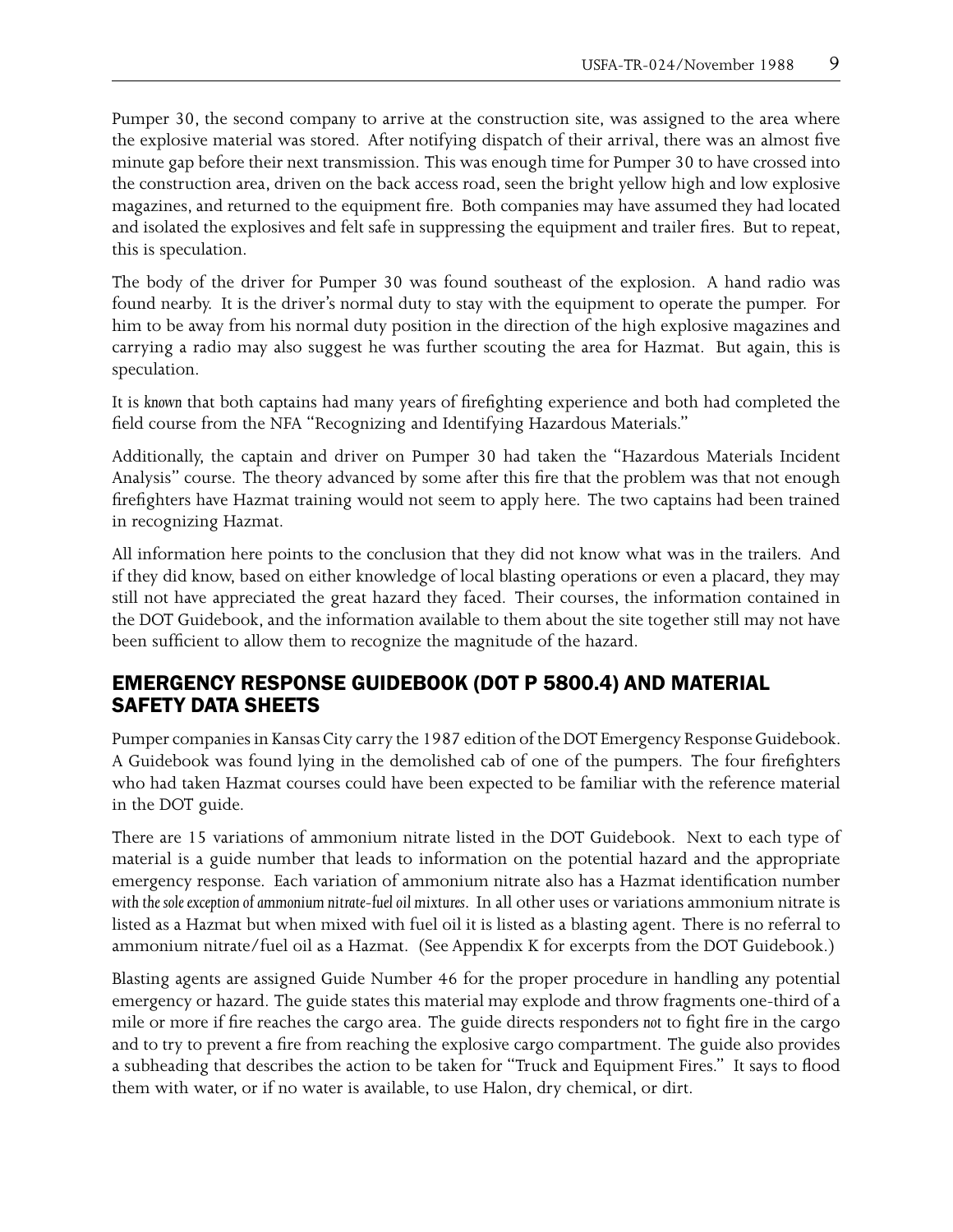Pumper 30, the second company to arrive at the construction site, was assigned to the area where the explosive material was stored. After notifying dispatch of their arrival, there was an almost five minute gap before their next transmission. This was enough time for Pumper 30 to have crossed into the construction area, driven on the back access road, seen the bright yellow high and low explosive magazines, and returned to the equipment fire. Both companies may have assumed they had located and isolated the explosives and felt safe in suppressing the equipment and trailer fires. But to repeat, this is speculation.

The body of the driver for Pumper 30 was found southeast of the explosion. A hand radio was found nearby. It is the driver's normal duty to stay with the equipment to operate the pumper. For him to be away from his normal duty position in the direction of the high explosive magazines and carrying a radio may also suggest he was further scouting the area for Hazmat. But again, this is speculation.

It is *known* that both captains had many years of firefighting experience and both had completed the field course from the NFA "Recognizing and Identifying Hazardous Materials."

Additionally, the captain and driver on Pumper 30 had taken the "Hazardous Materials Incident Analysis" course. The theory advanced by some after this fire that the problem was that not enough firefighters have Hazmat training would not seem to apply here. The two captains had been trained in recognizing Hazmat.

All information here points to the conclusion that they did not know what was in the trailers. And if they did know, based on either knowledge of local blasting operations or even a placard, they may still not have appreciated the great hazard they faced. Their courses, the information contained in the DOT Guidebook, and the information available to them about the site together still may not have been sufficient to allow them to recognize the magnitude of the hazard.

#### EMERGENCY RESPONSE GUIDEBOOK (DOT P 5800.4) AND MATERIAL SAFETY DATA SHEETS

Pumper companies in Kansas City carry the 1987 edition of the DOT Emergency Response Guidebook. A Guidebook was found lying in the demolished cab of one of the pumpers. The four firefighters who had taken Hazmat courses could have been expected to be familiar with the reference material in the DOT guide.

There are 15 variations of ammonium nitrate listed in the DOT Guidebook. Next to each type of material is a guide number that leads to information on the potential hazard and the appropriate emergency response. Each variation of ammonium nitrate also has a Hazmat identification number *with the sole exception of ammonium nitrate-fuel oil mixtures*. In all other uses or variations ammonium nitrate is listed as a Hazmat but when mixed with fuel oil it is listed as a blasting agent. There is no referral to ammonium nitrate/fuel oil as a Hazmat. (See Appendix K for excerpts from the DOT Guidebook.)

Blasting agents are assigned Guide Number 46 for the proper procedure in handling any potential emergency or hazard. The guide states this material may explode and throw fragments one-third of a mile or more if fire reaches the cargo area. The guide directs responders *not* to fight fire in the cargo and to try to prevent a fire from reaching the explosive cargo compartment. The guide also provides a subheading that describes the action to be taken for "Truck and Equipment Fires." It says to flood them with water, or if no water is available, to use Halon, dry chemical, or dirt.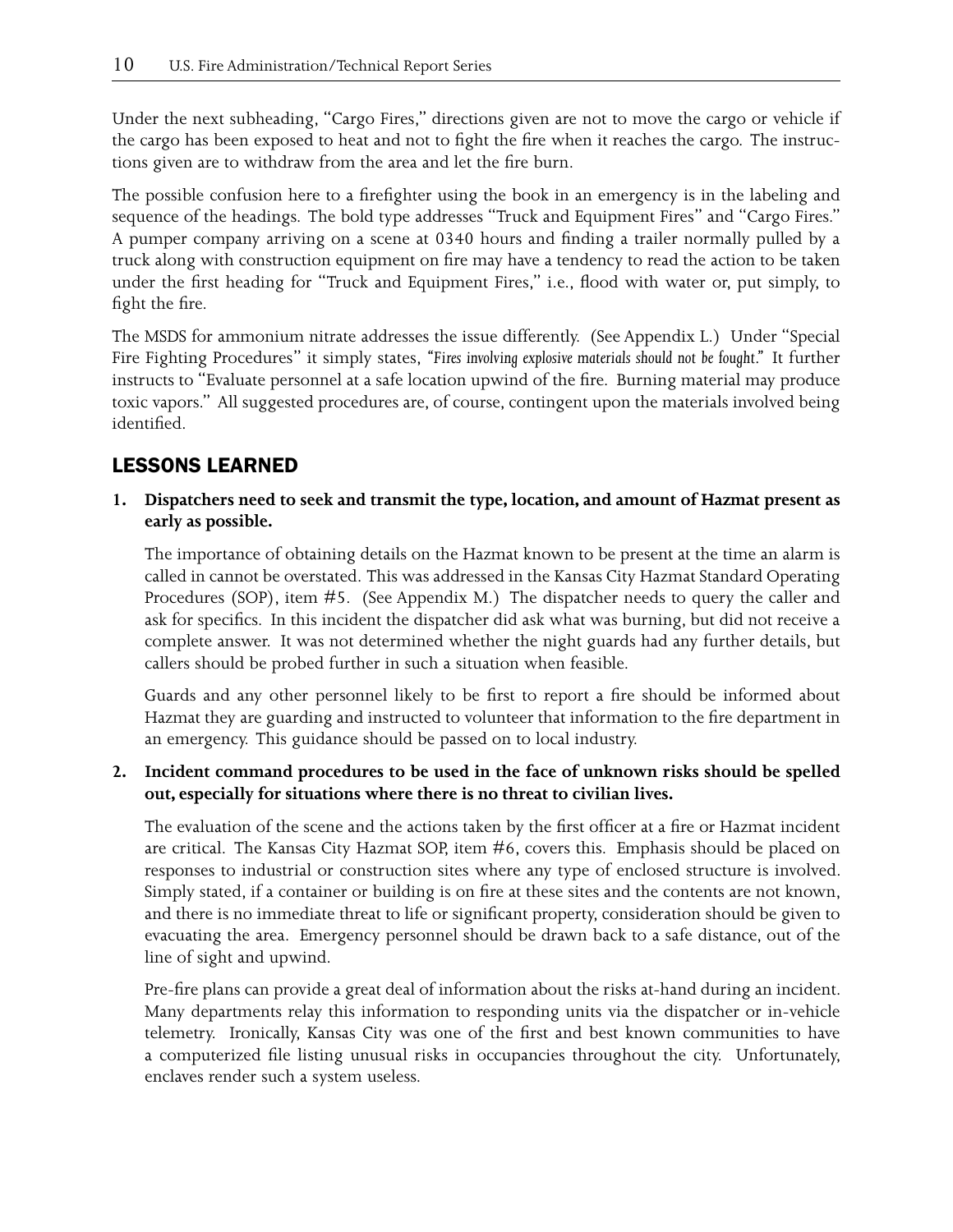Under the next subheading, "Cargo Fires," directions given are not to move the cargo or vehicle if the cargo has been exposed to heat and not to fight the fire when it reaches the cargo. The instructions given are to withdraw from the area and let the fire burn.

The possible confusion here to a firefighter using the book in an emergency is in the labeling and sequence of the headings. The bold type addresses "Truck and Equipment Fires" and "Cargo Fires." A pumper company arriving on a scene at 0340 hours and finding a trailer normally pulled by a truck along with construction equipment on fire may have a tendency to read the action to be taken under the first heading for "Truck and Equipment Fires," i.e., flood with water or, put simply, to fight the fire.

The MSDS for ammonium nitrate addresses the issue differently. (See Appendix L.) Under "Special Fire Fighting Procedures" it simply states, *"Fires involving explosive materials should not be fought."* It further instructs to "Evaluate personnel at a safe location upwind of the fire. Burning material may produce toxic vapors." All suggested procedures are, of course, contingent upon the materials involved being identified.

## LESSONS LEARNED

**1. Dispatchers need to seek and transmit the type, location, and amount of Hazmat present as early as possible.**

The importance of obtaining details on the Hazmat known to be present at the time an alarm is called in cannot be overstated. This was addressed in the Kansas City Hazmat Standard Operating Procedures (SOP), item #5. (See Appendix M.) The dispatcher needs to query the caller and ask for specifics. In this incident the dispatcher did ask what was burning, but did not receive a complete answer. It was not determined whether the night guards had any further details, but callers should be probed further in such a situation when feasible.

Guards and any other personnel likely to be first to report a fire should be informed about Hazmat they are guarding and instructed to volunteer that information to the fire department in an emergency. This guidance should be passed on to local industry.

#### **2. Incident command procedures to be used in the face of unknown risks should be spelled out, especially for situations where there is no threat to civilian lives.**

The evaluation of the scene and the actions taken by the first officer at a fire or Hazmat incident are critical. The Kansas City Hazmat SOP, item #6, covers this. Emphasis should be placed on responses to industrial or construction sites where any type of enclosed structure is involved. Simply stated, if a container or building is on fire at these sites and the contents are not known, and there is no immediate threat to life or significant property, consideration should be given to evacuating the area. Emergency personnel should be drawn back to a safe distance, out of the line of sight and upwind.

Pre-fire plans can provide a great deal of information about the risks at-hand during an incident. Many departments relay this information to responding units via the dispatcher or in-vehicle telemetry. Ironically, Kansas City was one of the first and best known communities to have a computerized file listing unusual risks in occupancies throughout the city. Unfortunately, enclaves render such a system useless.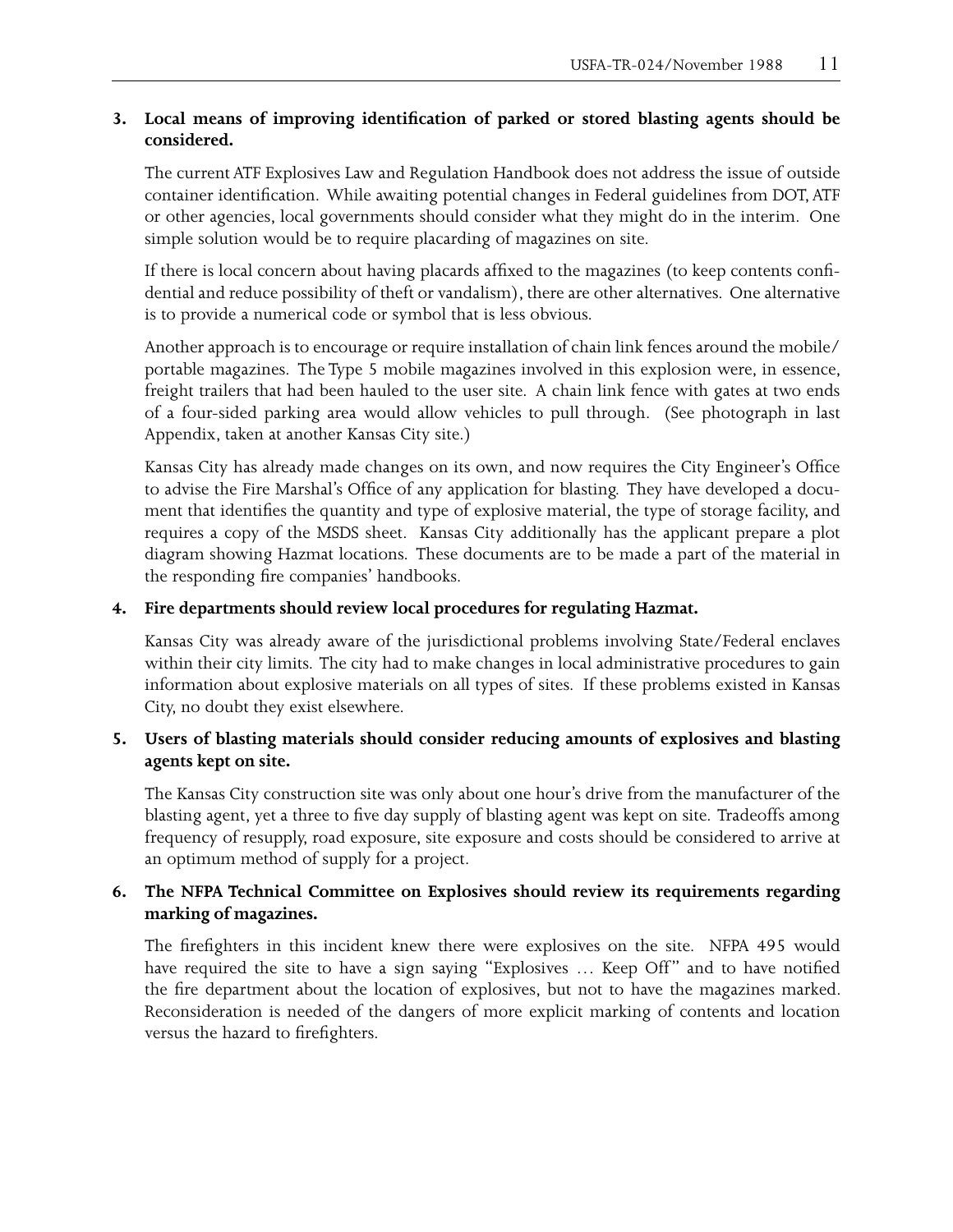#### **3. Local means of improving identification of parked or stored blasting agents should be considered.**

The current ATF Explosives Law and Regulation Handbook does not address the issue of outside container identification. While awaiting potential changes in Federal guidelines from DOT, ATF or other agencies, local governments should consider what they might do in the interim. One simple solution would be to require placarding of magazines on site.

If there is local concern about having placards affixed to the magazines (to keep contents confidential and reduce possibility of theft or vandalism), there are other alternatives. One alternative is to provide a numerical code or symbol that is less obvious.

Another approach is to encourage or require installation of chain link fences around the mobile/ portable magazines. The Type 5 mobile magazines involved in this explosion were, in essence, freight trailers that had been hauled to the user site. A chain link fence with gates at two ends of a four-sided parking area would allow vehicles to pull through. (See photograph in last Appendix, taken at another Kansas City site.)

Kansas City has already made changes on its own, and now requires the City Engineer's Office to advise the Fire Marshal's Office of any application for blasting. They have developed a document that identifies the quantity and type of explosive material, the type of storage facility, and requires a copy of the MSDS sheet. Kansas City additionally has the applicant prepare a plot diagram showing Hazmat locations. These documents are to be made a part of the material in the responding fire companies' handbooks.

#### **4. Fire departments should review local procedures for regulating Hazmat.**

Kansas City was already aware of the jurisdictional problems involving State/Federal enclaves within their city limits. The city had to make changes in local administrative procedures to gain information about explosive materials on all types of sites. If these problems existed in Kansas City, no doubt they exist elsewhere.

#### **5. Users of blasting materials should consider reducing amounts of explosives and blasting agents kept on site.**

The Kansas City construction site was only about one hour's drive from the manufacturer of the blasting agent, yet a three to five day supply of blasting agent was kept on site. Tradeoffs among frequency of resupply, road exposure, site exposure and costs should be considered to arrive at an optimum method of supply for a project.

#### **6. The NFPA Technical Committee on Explosives should review its requirements regarding marking of magazines.**

The firefighters in this incident knew there were explosives on the site. NFPA 495 would have required the site to have a sign saying "Explosives … Keep Off" and to have notified the fire department about the location of explosives, but not to have the magazines marked. Reconsideration is needed of the dangers of more explicit marking of contents and location versus the hazard to firefighters.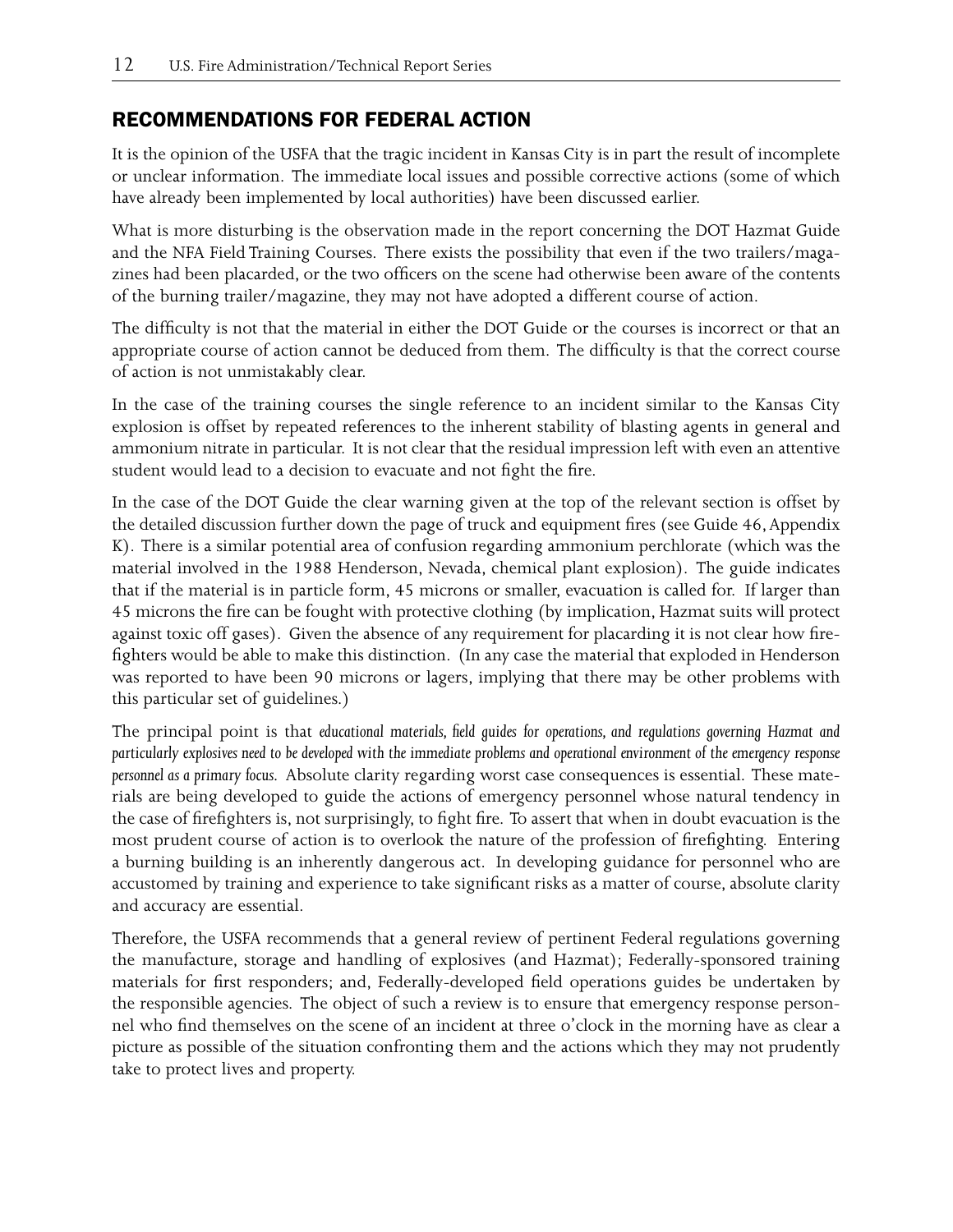#### RECOMMENDATIONS FOR FEDERAL ACTION

It is the opinion of the USFA that the tragic incident in Kansas City is in part the result of incomplete or unclear information. The immediate local issues and possible corrective actions (some of which have already been implemented by local authorities) have been discussed earlier.

What is more disturbing is the observation made in the report concerning the DOT Hazmat Guide and the NFA Field Training Courses. There exists the possibility that even if the two trailers/magazines had been placarded, or the two officers on the scene had otherwise been aware of the contents of the burning trailer/magazine, they may not have adopted a different course of action.

The difficulty is not that the material in either the DOT Guide or the courses is incorrect or that an appropriate course of action cannot be deduced from them. The difficulty is that the correct course of action is not unmistakably clear.

In the case of the training courses the single reference to an incident similar to the Kansas City explosion is offset by repeated references to the inherent stability of blasting agents in general and ammonium nitrate in particular. It is not clear that the residual impression left with even an attentive student would lead to a decision to evacuate and not fight the fire.

In the case of the DOT Guide the clear warning given at the top of the relevant section is offset by the detailed discussion further down the page of truck and equipment fires (see Guide 46, Appendix K). There is a similar potential area of confusion regarding ammonium perchlorate (which was the material involved in the 1988 Henderson, Nevada, chemical plant explosion). The guide indicates that if the material is in particle form, 45 microns or smaller, evacuation is called for. If larger than 45 microns the fire can be fought with protective clothing (by implication, Hazmat suits will protect against toxic off gases). Given the absence of any requirement for placarding it is not clear how firefighters would be able to make this distinction. (In any case the material that exploded in Henderson was reported to have been 90 microns or lagers, implying that there may be other problems with this particular set of guidelines.)

The principal point is that *educational materials, field guides for operations, and regulations governing Hazmat and particularly explosives need to be developed with the immediate problems and operational environment of the emergency response personnel as a primary focus.* Absolute clarity regarding worst case consequences is essential. These materials are being developed to guide the actions of emergency personnel whose natural tendency in the case of firefighters is, not surprisingly, to fight fire. To assert that when in doubt evacuation is the most prudent course of action is to overlook the nature of the profession of firefighting. Entering a burning building is an inherently dangerous act. In developing guidance for personnel who are accustomed by training and experience to take significant risks as a matter of course, absolute clarity and accuracy are essential.

Therefore, the USFA recommends that a general review of pertinent Federal regulations governing the manufacture, storage and handling of explosives (and Hazmat); Federally-sponsored training materials for first responders; and, Federally-developed field operations guides be undertaken by the responsible agencies. The object of such a review is to ensure that emergency response personnel who find themselves on the scene of an incident at three o'clock in the morning have as clear a picture as possible of the situation confronting them and the actions which they may not prudently take to protect lives and property.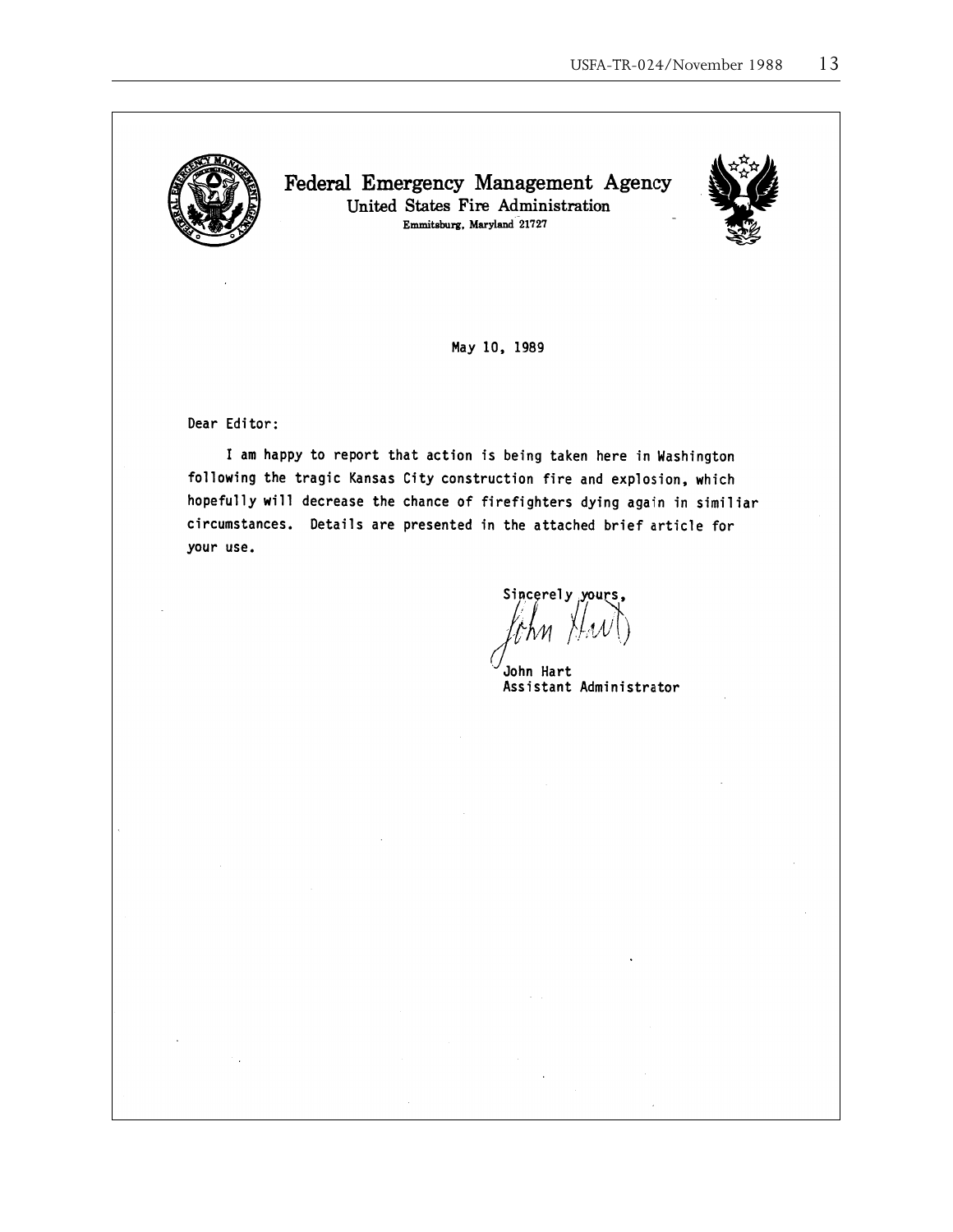

Federal Emergency Management Agency United States Fire Administration Emmitsburg, Maryland 21727



May 10, 1989

Dear Editor:

I am happy to report that action is being taken here in Washington following the tragic Kansas City construction fire and explosion, which hopefully will decrease the chance of firefighters dying again in similiar circumstances. Details are presented in the attached brief article for your use.

Sincerely yours,

John Hart Assistant Administrator